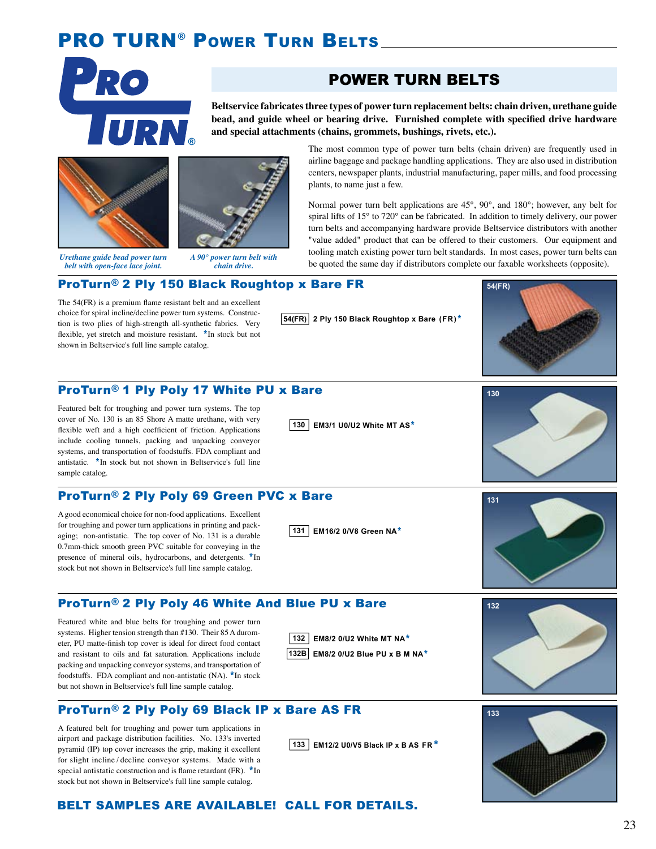# **PRO TURN<sup>®</sup> POWER TURN BELTS**



## POWER TURN BELTS

**Beltservice fabricates three types of power turn replacement belts: chain driven, urethane guide**  bead, and guide wheel or bearing drive. Furnished complete with specified drive hardware **and special attachments (chains, grommets, bushings, rivets, etc.).** 





*Urethane guide bead power turn belt with open-face lace joint.*

*A 90° power turn belt with chain drive.*

The most common type of power turn belts (chain driven) are frequently used in airline baggage and package handling applications. They are also used in distribution centers, newspaper plants, industrial manufacturing, paper mills, and food processing plants, to name just a few.

Normal power turn belt applications are 45°, 90°, and 180°; however, any belt for spiral lifts of 15° to 720° can be fabricated. In addition to timely delivery, our power turn belts and accompanying hardware provide Beltservice distributors with another "value added" product that can be offered to their customers. Our equipment and tooling match existing power turn belt standards. In most cases, power turn belts can be quoted the same day if distributors complete our faxable worksheets (opposite).

#### ProTurn® 2 Ply 150 Black Roughtop x Bare FR

The  $54$ (FR) is a premium flame resistant belt and an excellent choice for spiral incline/decline power turn systems. Construction is two plies of high-strength all-synthetic fabrics. Very flexible, yet stretch and moisture resistant. \*In stock but not shown in Beltservice's full line sample catalog.

**54(FR) 2 Ply 150 Black Roughtop x Bare (FR)**\*



#### ProTurn® 1 Ply Poly 17 White PU x Bare

Featured belt for troughing and power turn systems. The top cover of No. 130 is an 85 Shore A matte urethane, with very flexible weft and a high coefficient of friction. Applications include cooling tunnels, packing and unpacking conveyor systems, and transportation of foodstuffs. FDA compliant and antistatic. \*In stock but not shown in Beltservice's full line sample catalog.

#### ProTurn® 2 Ply Poly 69 Green PVC x Bare

A good economical choice for non-food applications. Excellent for troughing and power turn applications in printing and packaging; non-antistatic. The top cover of No. 131 is a durable 0.7mm-thick smooth green PVC suitable for conveying in the presence of mineral oils, hydrocarbons, and detergents. \*In stock but not shown in Beltservice's full line sample catalog.

**130 EM3/1 U0/U2 White MT AS**\*

**131 EM16/2 0/V8 Green NA**\*



# **131**

### ProTurn® 2 Ply Poly 46 White And Blue PU x Bare

Featured white and blue belts for troughing and power turn systems. Higher tension strength than #130. Their 85 A durometer, PU matte-finish top cover is ideal for direct food contact and resistant to oils and fat saturation. Applications include packing and unpacking conveyor systems, and transportation of foodstuffs. FDA compliant and non-antistatic (NA). \*In stock but not shown in Beltservice's full line sample catalog.





**132B EM8/2 0/U2 Blue PU x B M NA**\*



#### ProTurn® 2 Ply Poly 69 Black IP x Bare AS FR

A featured belt for troughing and power turn applications in airport and package distribution facilities. No. 133's inverted pyramid (IP) top cover increases the grip, making it excellent for slight incline / decline conveyor systems. Made with a special antistatic construction and is flame retardant (FR).  $*$ In stock but not shown in Beltservice's full line sample catalog.

**133 EM12/2 U0/V5 Black IP x B AS FR**\*



#### BELT SAMPLES ARE AVAILABLE! CALL FOR DETAILS.